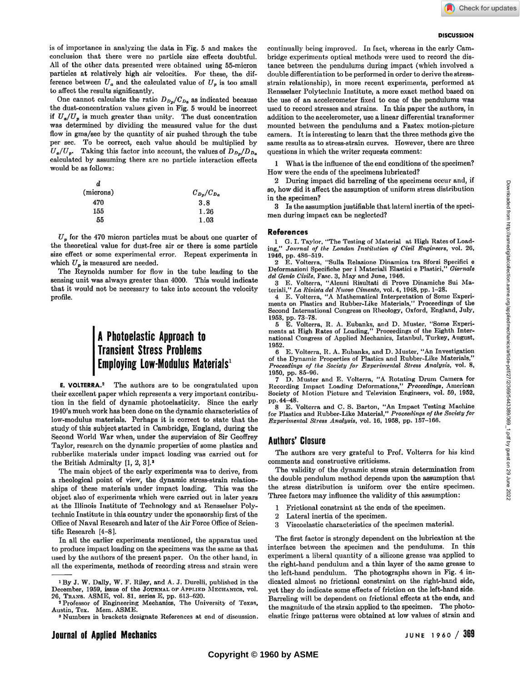#### **DISCUSSION**

is of importance in analyzing the data in Fig. 5 and makes the conclusion that there were no particle size effects doubtful. All of the other data presented were obtained using 55-micron particles at relatively high air velocities. For these, the difference between  $U_a$  and the calculated value of  $U_p$  is too small to affect the results significantly.

One cannot calculate the ratio  $D_{D_p}/C_{D_a}$  as indicated because the dust-concentration values given in Fig. 5 would be incorrect if  $U_a/U_p$  is much greater than unity. The dust concentration was determined by dividing the measured value for the dust flow in gms/sec by the quantity of air pushed through the tube per sec. To be correct, each value should be multiplied by  $U_a/U_p$ . Taking this factor into account, the values of  $D_{D_p}/D_{D_a}$ calculated by assuming there are no particle interaction effects would be as follows:

| d         |                   |
|-----------|-------------------|
| (microns) | $C_{D_p}/C_{D_a}$ |
| 470       | 3.8               |
| 155       | 1.26              |
| 55        | 1.03              |

 $U_p$  for the 470 micron particles must be about one quarter of the theoretical value for dust-free air or there is some particle size effect or some experimental error. Repeat experiments in which  $U_p$  is measured are needed.

The Reynolds number for flow in the tube leading to the sensing unit was always greater than 4000. This would indicate that it would not be necessary to take into account the velocity profile.

# **A Photoelastic Approach to Transient Stress Problems Employing Low-Modulus Materials<sup>1</sup>**

E. VOLTERRA.2 The authors are to be congratulated upon their excellent paper which represents a very important contribution in the field of dynamic photoelasticity. Since the early 1940's much work has been done on the dynamic characteristics of low-modulus materials. Perhaps it is correct to state that the study of this subject started in Cambridge, England, during the Second World War when, under the supervision of Sir Geoffrey Taylor, research on the dynamic properties of some plastics and rubberlike materials under impact loading was carried out for the British Admiralty [1, 2, 3].<sup>3</sup>

The main object of the early experiments was to derive, from a rheological point of view, the dynamic stress-strain relationships of these materials under impact loading. This was the object also of experiments which were carried out in later years at the Illinois Institute of Technology and at Rensselaer Polytechnic Institute in this country under the sponsorship first of the Office of Naval Research and later of the Air Force Office of Scientific Research [4-8].

In all the earlier experiments mentioned, the apparatus used to produce impact loading on the specimens was the same as that used by the authors of the present paper. On the other hand, in all the experiments, methods of recording stress and strain were continually being improved. In fact, whereas in the early Cambridge experiments optical methods were used to record the distance between the pendulums during impact (which involved a double differentiation to be performed in order to derive the stressstrain relationship), in more recent experiments, performed at Rensselaer Polytechnic Institute, a more exact method based on the use of an accelerometer fixed to one of the pendulums was used to record stresses and strains. In this paper the authors, in addition to the accelerometer, use a linear differential transformer mounted between the pendulums and a Fastex motion-picture camera. It is interesting to learn that the three methods give the same results as to stress-strain curves. However, there are three questions in which the writer requests comment:

What is the influence of the end conditions of the specimen? How were the ends of the specimens lubricated?

2 During impact did barreling of the specimens occur and, if so, how did it affect the assumption of uniform stress distribution in the specimen?

3 Is the assumption justifiable that lateral inertia of the specimen during impact can be neglected?

#### **References**

1 G. I. Taylor, "The Testing of Material at High Rates of Load-ing," *Journal of the London Institution of Civil Engineers,* vol. 26, 1946, pp. 486-519.

2 E. Volterra, "Sulla Relazione Dinamica tra Sforzi Specifici e Deformazioni Specifiche per i Materiali Elastici e Plastiei," *Giornale del Genio Civile,* Fasc. 3, May and June, 1946.

3 E. Volterra, "Alcuni Risultati di Prove Dinamiche Sui Ma-teriali," *La Rivista del Nuovo Cimento,* vol. 4, 1948, pp. 1-28.

4 E. Volterra, " A Mathematical Interpretation of Some Experi-ments on Plastics and Rubber-Like Materials," Proceedings of the Second International Congress on Rheology, Oxford, England, July, 1953, pp. 73-78.

5 E. Volterra, R. A. Eubanks, and D. Muster, "Some Experi-ments at High Rates of Loading," Proceedings of the Eighth International Congress of Applied Mechanics, Istanbul, Turkey, August, 1952.

6 E. Volterra, R. A. Eubanks, and D. Muster, "An Investigation of the Dynamic Properties of Plasties and Rubber-Like Materials," *Proceedings of the Society for Experimental Stress Analysis,* vol. 8, 1950, pp. 85-96.

7 D. Muster and E. Volterra, " A Rotating Drum Camera for Recording Impact Loading Deformations," *Proceedings,* American Society of Motion Picture and Television Engineers, vol. 59, 1952, pp.44-48.

8 E. Volterra and C. S. Barton, "An Impact Testing Machine for Plastics and Rubber-Like Material," *Proceedings of the Society for Experimental Stress Analysis,* vol. 16, 1958, pp. 157-166.

## Authors' Closure

The authors are very grateful to Prof. Volterra for his kind comments and constructive criticisms.

The validity of the dynamic stress strain determination from the double pendulum method depends upon the assumption that the stress distribution is uniform over the entire specimen. Three factors may influence the validity of this assumption:

- 1 Frictional constraint at the ends of the specimen.
- 2 Lateral inertia of the specimen.
- 3 Viscoelastic characteristics of the specimen material.

The first factor is strongly dependent on the lubrication at the interface between the specimen and the pendulums. In this experiment a liberal quantity of a silicone grease was applied to the right-hand pendulum and a thin layer of the same grease to the left-hand pendulum. The photographs shown in Fig. 4 indicated almost no frictional constraint on the right-hand side, yet they do indicate some effects of friction on the left-hand side. Barreling will be dependent on frictional effects at the ends, and the magnitude of the strain applied to the specimen. The photoelastic fringe patterns were obtained at low values of strain and

<sup>1</sup> By **J. W.** Dally, **W. F.** Riley, and **A. J.** Durelli, published in the December, **1959,** issue of the **JOURNAL OF APPLIED MECHANICS**, vol. **26, TRANS. ASME,** vol. **81,** series **E,** pp. **613-620.** 

<sup>2</sup> Professor of Engineering Mechanics, The University of Texas, Austin, Tex. Mem. ASME.

<sup>&</sup>lt;sup>3</sup> Numbers in brackets designate References at end of discussion.